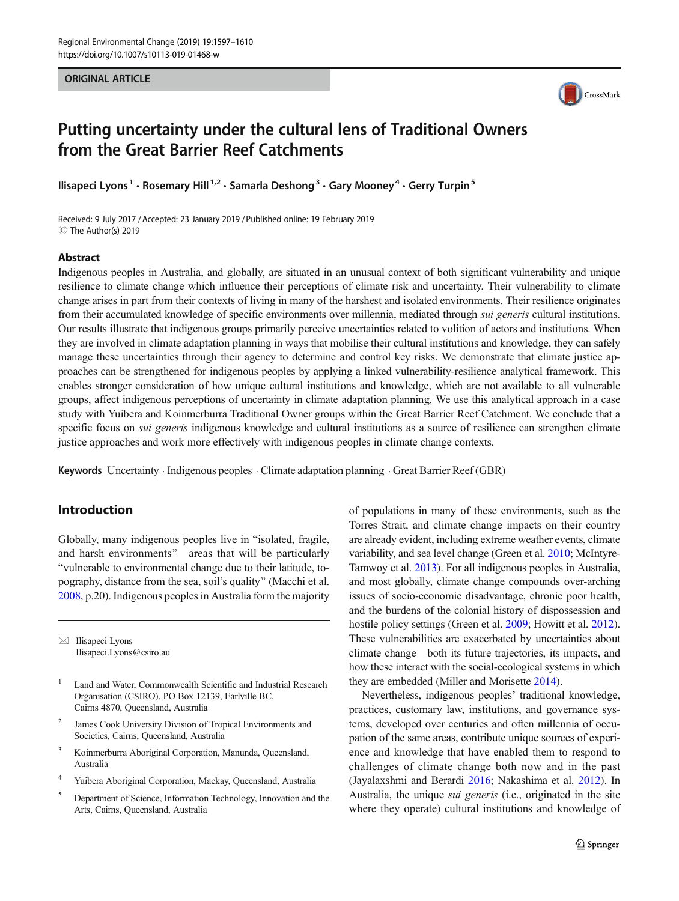#### **ORIGINAL ARTICLE** ORIGINAL ARTICLE



# Putting uncertainty under the cultural lens of Traditional Owners from the Great Barrier Reef Catchments

Ilisapeci Lyons<sup>1</sup> • Rosemary Hill<sup>1,2</sup> • Samarla Deshong<sup>3</sup> • Gary Mooney<sup>4</sup> • Gerry Turpin<sup>5</sup>

Received: 9 July 2017 /Accepted: 23 January 2019 /Published online: 19 February 2019 C The Author(s) 2019

#### Abstract

Indigenous peoples in Australia, and globally, are situated in an unusual context of both significant vulnerability and unique resilience to climate change which influence their perceptions of climate risk and uncertainty. Their vulnerability to climate change arises in part from their contexts of living in many of the harshest and isolated environments. Their resilience originates from their accumulated knowledge of specific environments over millennia, mediated through *sui generis* cultural institutions. Our results illustrate that indigenous groups primarily perceive uncertainties related to volition of actors and institutions. When they are involved in climate adaptation planning in ways that mobilise their cultural institutions and knowledge, they can safely manage these uncertainties through their agency to determine and control key risks. We demonstrate that climate justice approaches can be strengthened for indigenous peoples by applying a linked vulnerability-resilience analytical framework. This enables stronger consideration of how unique cultural institutions and knowledge, which are not available to all vulnerable groups, affect indigenous perceptions of uncertainty in climate adaptation planning. We use this analytical approach in a case study with Yuibera and Koinmerburra Traditional Owner groups within the Great Barrier Reef Catchment. We conclude that a specific focus on *sui generis* indigenous knowledge and cultural institutions as a source of resilience can strengthen climate justice approaches and work more effectively with indigenous peoples in climate change contexts.

Keywords Uncertainty . Indigenous peoples . Climate adaptation planning . Great Barrier Reef (GBR)

## Introduction

Globally, many indigenous peoples live in "isolated, fragile, and harsh environments"—areas that will be particularly "vulnerable to environmental change due to their latitude, topography, distance from the sea, soil's quality^ (Macchi et al. [2008,](#page-12-0) p.20). Indigenous peoples in Australia form the majority

 $\boxtimes$  Ilisapeci Lyons [Ilisapeci.Lyons@csiro.au](mailto:Ilisapeci.Lyons@csiro.au)

- <sup>1</sup> Land and Water, Commonwealth Scientific and Industrial Research Organisation (CSIRO), PO Box 12139, Earlville BC, Cairns 4870, Queensland, Australia
- <sup>2</sup> James Cook University Division of Tropical Environments and Societies, Cairns, Queensland, Australia
- <sup>3</sup> Koinmerburra Aboriginal Corporation, Manunda, Queensland, Australia
- <sup>4</sup> Yuibera Aboriginal Corporation, Mackay, Queensland, Australia
- <sup>5</sup> Department of Science, Information Technology, Innovation and the Arts, Cairns, Queensland, Australia

of populations in many of these environments, such as the Torres Strait, and climate change impacts on their country are already evident, including extreme weather events, climate variability, and sea level change (Green et al. [2010](#page-11-0); McIntyre-Tamwoy et al. [2013](#page-12-0)). For all indigenous peoples in Australia, and most globally, climate change compounds over-arching issues of socio-economic disadvantage, chronic poor health, and the burdens of the colonial history of dispossession and hostile policy settings (Green et al. [2009](#page-11-0); Howitt et al. [2012\)](#page-12-0). These vulnerabilities are exacerbated by uncertainties about climate change—both its future trajectories, its impacts, and how these interact with the social-ecological systems in which they are embedded (Miller and Morisette [2014](#page-12-0)).

Nevertheless, indigenous peoples' traditional knowledge, practices, customary law, institutions, and governance systems, developed over centuries and often millennia of occupation of the same areas, contribute unique sources of experience and knowledge that have enabled them to respond to challenges of climate change both now and in the past (Jayalaxshmi and Berardi [2016](#page-12-0); Nakashima et al. [2012\)](#page-12-0). In Australia, the unique sui generis (i.e., originated in the site where they operate) cultural institutions and knowledge of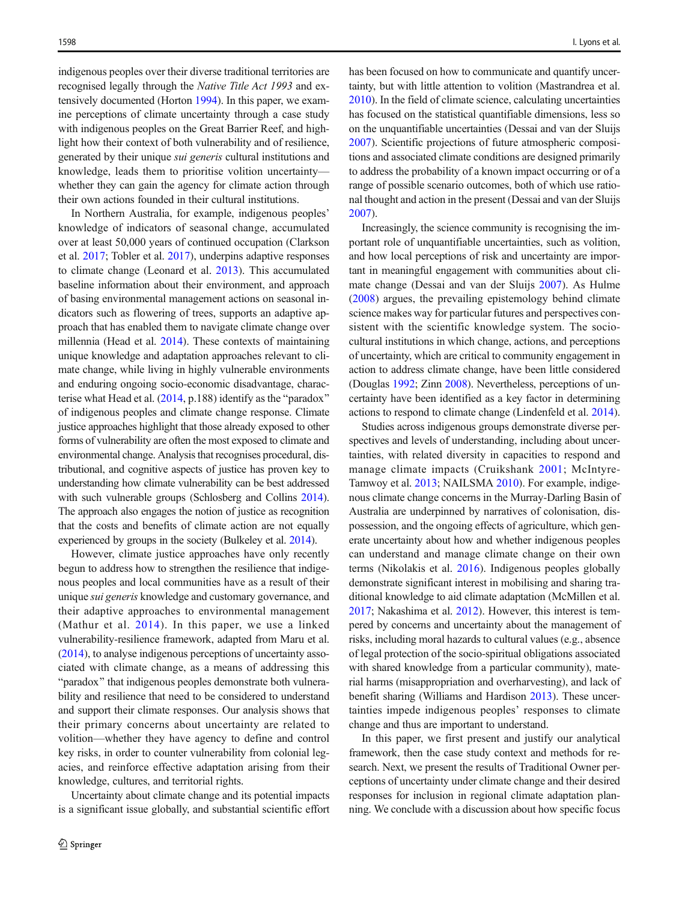indigenous peoples over their diverse traditional territories are recognised legally through the Native Title Act 1993 and extensively documented (Horton [1994\)](#page-12-0). In this paper, we examine perceptions of climate uncertainty through a case study with indigenous peoples on the Great Barrier Reef, and highlight how their context of both vulnerability and of resilience, generated by their unique sui generis cultural institutions and knowledge, leads them to prioritise volition uncertainty whether they can gain the agency for climate action through their own actions founded in their cultural institutions.

In Northern Australia, for example, indigenous peoples' knowledge of indicators of seasonal change, accumulated over at least 50,000 years of continued occupation (Clarkson et al. [2017](#page-11-0); Tobler et al. [2017\)](#page-12-0), underpins adaptive responses to climate change (Leonard et al. [2013](#page-12-0)). This accumulated baseline information about their environment, and approach of basing environmental management actions on seasonal indicators such as flowering of trees, supports an adaptive approach that has enabled them to navigate climate change over millennia (Head et al. [2014](#page-11-0)). These contexts of maintaining unique knowledge and adaptation approaches relevant to climate change, while living in highly vulnerable environments and enduring ongoing socio-economic disadvantage, characterise what Head et al.  $(2014, p.188)$  $(2014, p.188)$  identify as the "paradox" of indigenous peoples and climate change response. Climate justice approaches highlight that those already exposed to other forms of vulnerability are often the most exposed to climate and environmental change. Analysis that recognises procedural, distributional, and cognitive aspects of justice has proven key to understanding how climate vulnerability can be best addressed with such vulnerable groups (Schlosberg and Collins [2014\)](#page-12-0). The approach also engages the notion of justice as recognition that the costs and benefits of climate action are not equally experienced by groups in the society (Bulkeley et al. [2014](#page-11-0)).

However, climate justice approaches have only recently begun to address how to strengthen the resilience that indigenous peoples and local communities have as a result of their unique sui generis knowledge and customary governance, and their adaptive approaches to environmental management (Mathur et al. [2014\)](#page-12-0). In this paper, we use a linked vulnerability-resilience framework, adapted from Maru et al. [\(2014\)](#page-12-0), to analyse indigenous perceptions of uncertainty associated with climate change, as a means of addressing this "paradox" that indigenous peoples demonstrate both vulnerability and resilience that need to be considered to understand and support their climate responses. Our analysis shows that their primary concerns about uncertainty are related to volition—whether they have agency to define and control key risks, in order to counter vulnerability from colonial legacies, and reinforce effective adaptation arising from their knowledge, cultures, and territorial rights.

Uncertainty about climate change and its potential impacts is a significant issue globally, and substantial scientific effort

has been focused on how to communicate and quantify uncertainty, but with little attention to volition (Mastrandrea et al. [2010\)](#page-12-0). In the field of climate science, calculating uncertainties has focused on the statistical quantifiable dimensions, less so on the unquantifiable uncertainties (Dessai and van der Sluijs [2007\)](#page-11-0). Scientific projections of future atmospheric compositions and associated climate conditions are designed primarily to address the probability of a known impact occurring or of a range of possible scenario outcomes, both of which use rational thought and action in the present (Dessai and van der Sluijs [2007\)](#page-11-0).

Increasingly, the science community is recognising the important role of unquantifiable uncertainties, such as volition, and how local perceptions of risk and uncertainty are important in meaningful engagement with communities about climate change (Dessai and van der Sluijs [2007](#page-11-0)). As Hulme [\(2008](#page-12-0)) argues, the prevailing epistemology behind climate science makes way for particular futures and perspectives consistent with the scientific knowledge system. The sociocultural institutions in which change, actions, and perceptions of uncertainty, which are critical to community engagement in action to address climate change, have been little considered (Douglas [1992;](#page-11-0) Zinn [2008](#page-13-0)). Nevertheless, perceptions of uncertainty have been identified as a key factor in determining actions to respond to climate change (Lindenfeld et al. [2014\)](#page-12-0).

Studies across indigenous groups demonstrate diverse perspectives and levels of understanding, including about uncertainties, with related diversity in capacities to respond and manage climate impacts (Cruikshank [2001](#page-11-0); McIntyre-Tamwoy et al. [2013](#page-12-0); NAILSMA [2010](#page-12-0)). For example, indigenous climate change concerns in the Murray-Darling Basin of Australia are underpinned by narratives of colonisation, dispossession, and the ongoing effects of agriculture, which generate uncertainty about how and whether indigenous peoples can understand and manage climate change on their own terms (Nikolakis et al. [2016\)](#page-12-0). Indigenous peoples globally demonstrate significant interest in mobilising and sharing traditional knowledge to aid climate adaptation (McMillen et al. [2017;](#page-12-0) Nakashima et al. [2012\)](#page-12-0). However, this interest is tempered by concerns and uncertainty about the management of risks, including moral hazards to cultural values (e.g., absence of legal protection of the socio-spiritual obligations associated with shared knowledge from a particular community), material harms (misappropriation and overharvesting), and lack of benefit sharing (Williams and Hardison [2013\)](#page-13-0). These uncertainties impede indigenous peoples' responses to climate change and thus are important to understand.

In this paper, we first present and justify our analytical framework, then the case study context and methods for research. Next, we present the results of Traditional Owner perceptions of uncertainty under climate change and their desired responses for inclusion in regional climate adaptation planning. We conclude with a discussion about how specific focus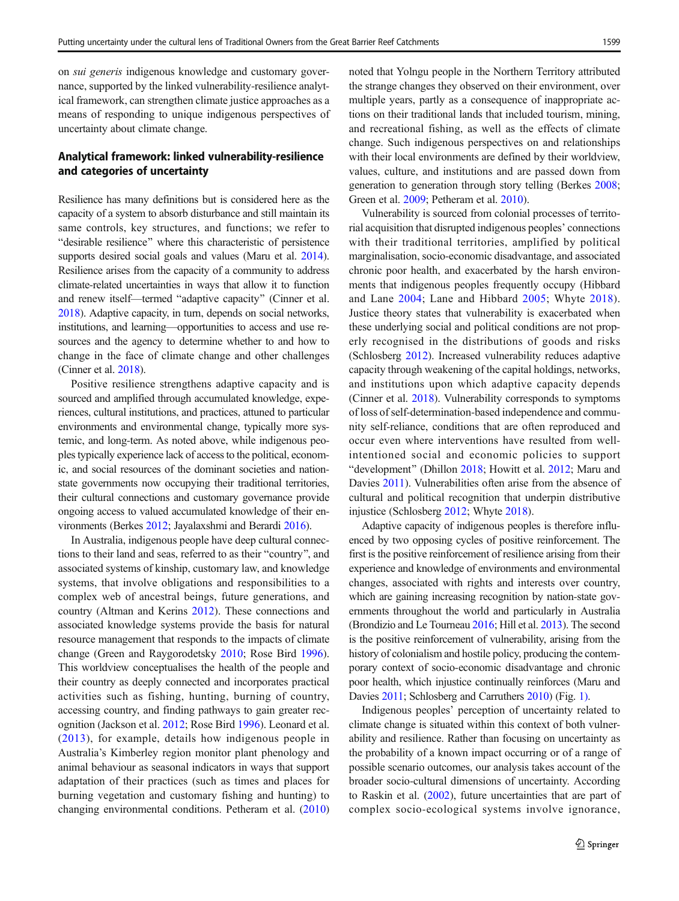on sui generis indigenous knowledge and customary governance, supported by the linked vulnerability-resilience analytical framework, can strengthen climate justice approaches as a means of responding to unique indigenous perspectives of uncertainty about climate change.

# Analytical framework: linked vulnerability-resilience and categories of uncertainty

Resilience has many definitions but is considered here as the capacity of a system to absorb disturbance and still maintain its same controls, key structures, and functions; we refer to "desirable resilience" where this characteristic of persistence supports desired social goals and values (Maru et al. [2014\)](#page-12-0). Resilience arises from the capacity of a community to address climate-related uncertainties in ways that allow it to function and renew itself—termed "adaptive capacity" (Cinner et al. [2018](#page-11-0)). Adaptive capacity, in turn, depends on social networks, institutions, and learning—opportunities to access and use resources and the agency to determine whether to and how to change in the face of climate change and other challenges (Cinner et al. [2018\)](#page-11-0).

Positive resilience strengthens adaptive capacity and is sourced and amplified through accumulated knowledge, experiences, cultural institutions, and practices, attuned to particular environments and environmental change, typically more systemic, and long-term. As noted above, while indigenous peoples typically experience lack of access to the political, economic, and social resources of the dominant societies and nationstate governments now occupying their traditional territories, their cultural connections and customary governance provide ongoing access to valued accumulated knowledge of their environments (Berkes [2012](#page-11-0); Jayalaxshmi and Berardi [2016](#page-12-0)).

In Australia, indigenous people have deep cultural connections to their land and seas, referred to as their "country", and associated systems of kinship, customary law, and knowledge systems, that involve obligations and responsibilities to a complex web of ancestral beings, future generations, and country (Altman and Kerins [2012](#page-11-0)). These connections and associated knowledge systems provide the basis for natural resource management that responds to the impacts of climate change (Green and Raygorodetsky [2010](#page-11-0); Rose Bird [1996](#page-12-0)). This worldview conceptualises the health of the people and their country as deeply connected and incorporates practical activities such as fishing, hunting, burning of country, accessing country, and finding pathways to gain greater recognition (Jackson et al. [2012](#page-12-0); Rose Bird [1996](#page-12-0)). Leonard et al. ([2013\)](#page-12-0), for example, details how indigenous people in Australia's Kimberley region monitor plant phenology and animal behaviour as seasonal indicators in ways that support adaptation of their practices (such as times and places for burning vegetation and customary fishing and hunting) to changing environmental conditions. Petheram et al. [\(2010\)](#page-12-0) noted that Yolngu people in the Northern Territory attributed the strange changes they observed on their environment, over multiple years, partly as a consequence of inappropriate actions on their traditional lands that included tourism, mining, and recreational fishing, as well as the effects of climate change. Such indigenous perspectives on and relationships with their local environments are defined by their worldview, values, culture, and institutions and are passed down from generation to generation through story telling (Berkes [2008;](#page-11-0) Green et al. [2009;](#page-11-0) Petheram et al. [2010](#page-12-0)).

Vulnerability is sourced from colonial processes of territorial acquisition that disrupted indigenous peoples' connections with their traditional territories, amplified by political marginalisation, socio-economic disadvantage, and associated chronic poor health, and exacerbated by the harsh environments that indigenous peoples frequently occupy (Hibbard and Lane [2004](#page-11-0); Lane and Hibbard [2005](#page-12-0); Whyte [2018](#page-13-0)). Justice theory states that vulnerability is exacerbated when these underlying social and political conditions are not properly recognised in the distributions of goods and risks (Schlosberg [2012](#page-12-0)). Increased vulnerability reduces adaptive capacity through weakening of the capital holdings, networks, and institutions upon which adaptive capacity depends (Cinner et al. [2018\)](#page-11-0). Vulnerability corresponds to symptoms of loss of self-determination-based independence and community self-reliance, conditions that are often reproduced and occur even where interventions have resulted from wellintentioned social and economic policies to support "development" (Dhillon [2018;](#page-11-0) Howitt et al. [2012;](#page-12-0) Maru and Davies [2011](#page-12-0)). Vulnerabilities often arise from the absence of cultural and political recognition that underpin distributive injustice (Schlosberg [2012;](#page-12-0) Whyte [2018](#page-13-0)).

Adaptive capacity of indigenous peoples is therefore influenced by two opposing cycles of positive reinforcement. The first is the positive reinforcement of resilience arising from their experience and knowledge of environments and environmental changes, associated with rights and interests over country, which are gaining increasing recognition by nation-state governments throughout the world and particularly in Australia (Brondizio and Le Tourneau [2016;](#page-11-0) Hill et al. [2013\)](#page-12-0). The second is the positive reinforcement of vulnerability, arising from the history of colonialism and hostile policy, producing the contemporary context of socio-economic disadvantage and chronic poor health, which injustice continually reinforces (Maru and Davies [2011;](#page-12-0) Schlosberg and Carruthers [2010\)](#page-12-0) (Fig. [1\).](#page-3-0)

Indigenous peoples' perception of uncertainty related to climate change is situated within this context of both vulnerability and resilience. Rather than focusing on uncertainty as the probability of a known impact occurring or of a range of possible scenario outcomes, our analysis takes account of the broader socio-cultural dimensions of uncertainty. According to Raskin et al. [\(2002\)](#page-12-0), future uncertainties that are part of complex socio-ecological systems involve ignorance,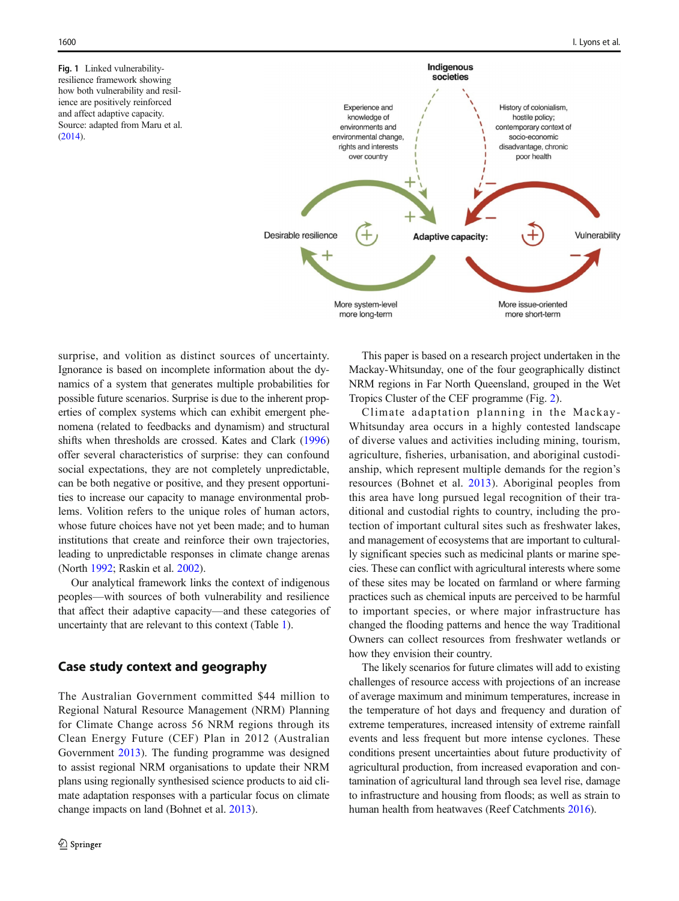<span id="page-3-0"></span>Fig. 1 Linked vulnerabilityresilience framework showing how both vulnerability and resilience are positively reinforced and affect adaptive capacity. Source: adapted from Maru et al. ([2014](#page-12-0)).



surprise, and volition as distinct sources of uncertainty. Ignorance is based on incomplete information about the dynamics of a system that generates multiple probabilities for possible future scenarios. Surprise is due to the inherent properties of complex systems which can exhibit emergent phenomena (related to feedbacks and dynamism) and structural shifts when thresholds are crossed. Kates and Clark [\(1996\)](#page-12-0) offer several characteristics of surprise: they can confound social expectations, they are not completely unpredictable, can be both negative or positive, and they present opportunities to increase our capacity to manage environmental problems. Volition refers to the unique roles of human actors, whose future choices have not yet been made; and to human institutions that create and reinforce their own trajectories, leading to unpredictable responses in climate change arenas (North [1992;](#page-12-0) Raskin et al. [2002](#page-12-0)).

Our analytical framework links the context of indigenous peoples—with sources of both vulnerability and resilience that affect their adaptive capacity—and these categories of uncertainty that are relevant to this context (Table [1\)](#page-4-0).

#### Case study context and geography

The Australian Government committed \$44 million to Regional Natural Resource Management (NRM) Planning for Climate Change across 56 NRM regions through its Clean Energy Future (CEF) Plan in 2012 (Australian Government [2013\)](#page-11-0). The funding programme was designed to assist regional NRM organisations to update their NRM plans using regionally synthesised science products to aid climate adaptation responses with a particular focus on climate change impacts on land (Bohnet et al. [2013\)](#page-11-0).

This paper is based on a research project undertaken in the Mackay-Whitsunday, one of the four geographically distinct NRM regions in Far North Queensland, grouped in the Wet Tropics Cluster of the CEF programme (Fig. [2\)](#page-4-0).

Climate adaptation planning in the Mackay-Whitsunday area occurs in a highly contested landscape of diverse values and activities including mining, tourism, agriculture, fisheries, urbanisation, and aboriginal custodianship, which represent multiple demands for the region's resources (Bohnet et al. [2013](#page-11-0)). Aboriginal peoples from this area have long pursued legal recognition of their traditional and custodial rights to country, including the protection of important cultural sites such as freshwater lakes, and management of ecosystems that are important to culturally significant species such as medicinal plants or marine species. These can conflict with agricultural interests where some of these sites may be located on farmland or where farming practices such as chemical inputs are perceived to be harmful to important species, or where major infrastructure has changed the flooding patterns and hence the way Traditional Owners can collect resources from freshwater wetlands or how they envision their country.

The likely scenarios for future climates will add to existing challenges of resource access with projections of an increase of average maximum and minimum temperatures, increase in the temperature of hot days and frequency and duration of extreme temperatures, increased intensity of extreme rainfall events and less frequent but more intense cyclones. These conditions present uncertainties about future productivity of agricultural production, from increased evaporation and contamination of agricultural land through sea level rise, damage to infrastructure and housing from floods; as well as strain to human health from heatwaves (Reef Catchments [2016\)](#page-12-0).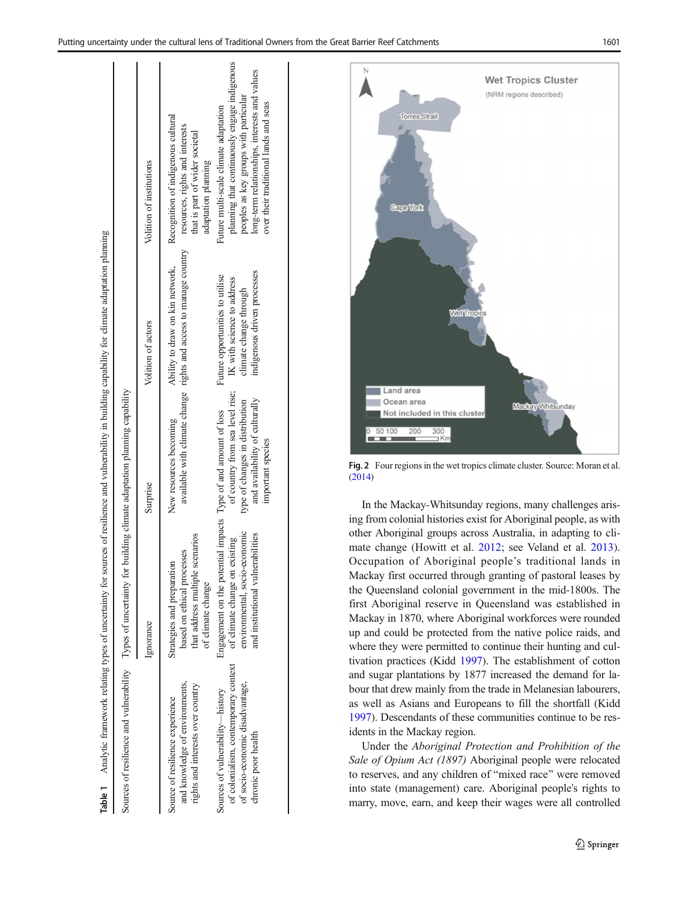<span id="page-4-0"></span>

|                     |                                                                                                             | Table 1 Analytic framework relating types of uncertainty for sources of resilience and vulnerability in building capability for climate adaptation planning           |                                                                                                                           |                                                                                                                        |                                                                                                                                                                                                                          |
|---------------------|-------------------------------------------------------------------------------------------------------------|-----------------------------------------------------------------------------------------------------------------------------------------------------------------------|---------------------------------------------------------------------------------------------------------------------------|------------------------------------------------------------------------------------------------------------------------|--------------------------------------------------------------------------------------------------------------------------------------------------------------------------------------------------------------------------|
|                     |                                                                                                             | Sources of resilience and vulnerability Types of uncertainty for building climate adaptation planning capability                                                      |                                                                                                                           |                                                                                                                        |                                                                                                                                                                                                                          |
|                     |                                                                                                             | Ignorance                                                                                                                                                             | Surprise                                                                                                                  | Volition of actors                                                                                                     | Volition of institutions                                                                                                                                                                                                 |
|                     | and knowledge of environments,<br>rights and interests over country<br>Source of resilience experience      | that address multiple scenarios<br>based on ethical processes<br>Strategies and preparation<br>of climate change                                                      | New resources becoming                                                                                                    | available with climate change rights and access to manage country<br>Ability to draw on kin network,                   | Recognition of indigenous cultural<br>resources, rights and interests<br>that is part of wider societal<br>adaptation planning                                                                                           |
| chronic poor health | of colonialism, contemporary context<br>of socio-economic disadvantage,<br>Sources of vulnerability-history | Engagement on the potential impacts Type of and amount of loss<br>environmental, socio-economic<br>and institutional vulnerabilities<br>of climate change on existing | of country from sea level rise;<br>and availability of culturally<br>type of changes in distribution<br>important species | indigenous driven processes<br>Future opportunities to utilise<br>IK with science to address<br>climate change through | planning that continuously engage indigenous<br>long-term relationships, interests and values<br>peoples as key groups with particular<br>over their traditional lands and seas<br>Future multi-scale climate adaptation |
|                     |                                                                                                             |                                                                                                                                                                       |                                                                                                                           |                                                                                                                        |                                                                                                                                                                                                                          |

 $\overline{1}$ 

 $\mathbf{I}$ 

 $\overline{1}$ 



Fig. 2 Four regions in the wet tropics climate cluster. Source: Moran et al. ([2014](#page-12-0))

In the Mackay-Whitsunday regions, many challenges arising from colonial histories exist for Aboriginal people, as with other Aboriginal groups across Australia, in adapting to climate change (Howitt et al. [2012;](#page-12-0) see Veland et al. [2013\)](#page-12-0). Occupation of Aboriginal people's traditional lands in Mackay first occurred through granting of pastoral leases by the Queensland colonial government in the mid-1800s. The first Aboriginal reserve in Queensland was established in Mackay in 1870, where Aboriginal workforces were rounded up and could be protected from the native police raids, and where they were permitted to continue their hunting and cultivation practices (Kidd [1997](#page-12-0)). The establishment of cotton and sugar plantations by 1877 increased the demand for labour that drew mainly from the trade in Melanesian labourers, as well as Asians and Europeans to fill the shortfall (Kidd [1997\)](#page-12-0). Descendants of these communities continue to be residents in the Mackay region.

Under the Aboriginal Protection and Prohibition of the Sale of Opium Act (1897) Aboriginal people were relocated to reserves, and any children of "mixed race" were removed into state (management) care. Aboriginal people's rights to marry, move, earn, and keep their wages were all controlled

g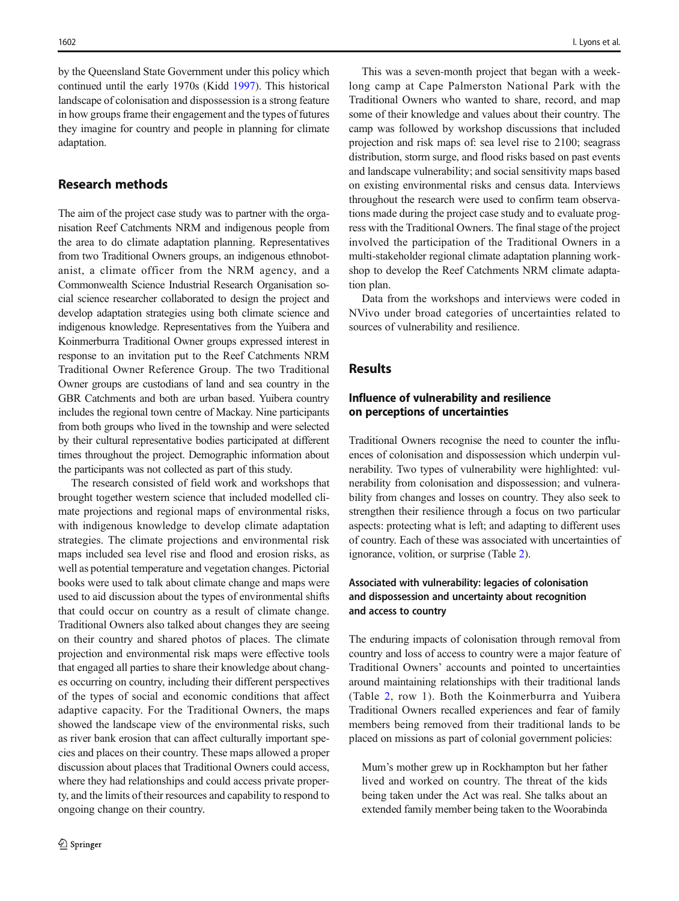by the Queensland State Government under this policy which continued until the early 1970s (Kidd [1997\)](#page-12-0). This historical landscape of colonisation and dispossession is a strong feature in how groups frame their engagement and the types of futures they imagine for country and people in planning for climate adaptation.

# Research methods

The aim of the project case study was to partner with the organisation Reef Catchments NRM and indigenous people from the area to do climate adaptation planning. Representatives from two Traditional Owners groups, an indigenous ethnobotanist, a climate officer from the NRM agency, and a Commonwealth Science Industrial Research Organisation social science researcher collaborated to design the project and develop adaptation strategies using both climate science and indigenous knowledge. Representatives from the Yuibera and Koinmerburra Traditional Owner groups expressed interest in response to an invitation put to the Reef Catchments NRM Traditional Owner Reference Group. The two Traditional Owner groups are custodians of land and sea country in the GBR Catchments and both are urban based. Yuibera country includes the regional town centre of Mackay. Nine participants from both groups who lived in the township and were selected by their cultural representative bodies participated at different times throughout the project. Demographic information about the participants was not collected as part of this study.

The research consisted of field work and workshops that brought together western science that included modelled climate projections and regional maps of environmental risks, with indigenous knowledge to develop climate adaptation strategies. The climate projections and environmental risk maps included sea level rise and flood and erosion risks, as well as potential temperature and vegetation changes. Pictorial books were used to talk about climate change and maps were used to aid discussion about the types of environmental shifts that could occur on country as a result of climate change. Traditional Owners also talked about changes they are seeing on their country and shared photos of places. The climate projection and environmental risk maps were effective tools that engaged all parties to share their knowledge about changes occurring on country, including their different perspectives of the types of social and economic conditions that affect adaptive capacity. For the Traditional Owners, the maps showed the landscape view of the environmental risks, such as river bank erosion that can affect culturally important species and places on their country. These maps allowed a proper discussion about places that Traditional Owners could access, where they had relationships and could access private property, and the limits of their resources and capability to respond to ongoing change on their country.

This was a seven-month project that began with a weeklong camp at Cape Palmerston National Park with the Traditional Owners who wanted to share, record, and map some of their knowledge and values about their country. The camp was followed by workshop discussions that included projection and risk maps of: sea level rise to 2100; seagrass distribution, storm surge, and flood risks based on past events and landscape vulnerability; and social sensitivity maps based on existing environmental risks and census data. Interviews throughout the research were used to confirm team observations made during the project case study and to evaluate progress with the Traditional Owners. The final stage of the project involved the participation of the Traditional Owners in a multi-stakeholder regional climate adaptation planning workshop to develop the Reef Catchments NRM climate adaptation plan.

Data from the workshops and interviews were coded in NVivo under broad categories of uncertainties related to sources of vulnerability and resilience.

#### Results

#### Influence of vulnerability and resilience on perceptions of uncertainties

Traditional Owners recognise the need to counter the influences of colonisation and dispossession which underpin vulnerability. Two types of vulnerability were highlighted: vulnerability from colonisation and dispossession; and vulnerability from changes and losses on country. They also seek to strengthen their resilience through a focus on two particular aspects: protecting what is left; and adapting to different uses of country. Each of these was associated with uncertainties of ignorance, volition, or surprise (Table [2](#page-6-0)).

#### Associated with vulnerability: legacies of colonisation and dispossession and uncertainty about recognition and access to country

The enduring impacts of colonisation through removal from country and loss of access to country were a major feature of Traditional Owners' accounts and pointed to uncertainties around maintaining relationships with their traditional lands (Table [2,](#page-6-0) row 1). Both the Koinmerburra and Yuibera Traditional Owners recalled experiences and fear of family members being removed from their traditional lands to be placed on missions as part of colonial government policies:

Mum's mother grew up in Rockhampton but her father lived and worked on country. The threat of the kids being taken under the Act was real. She talks about an extended family member being taken to the Woorabinda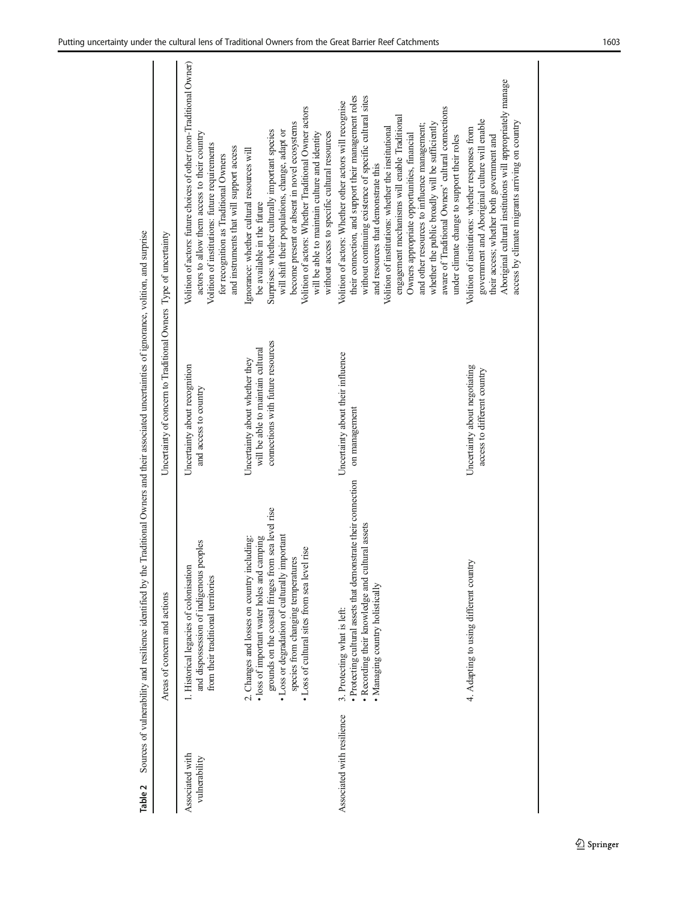<span id="page-6-0"></span>

| Table 2                          | Sources of vulnerability and resilience identified by the Traditional Owners and their associated uncertainties of ignorance, volition, and surprise                                                                                                                                       |                                                                                                          |                                                                                                                                                                                                                                                                                                                                                                                                                                                                                                                                                                                 |
|----------------------------------|--------------------------------------------------------------------------------------------------------------------------------------------------------------------------------------------------------------------------------------------------------------------------------------------|----------------------------------------------------------------------------------------------------------|---------------------------------------------------------------------------------------------------------------------------------------------------------------------------------------------------------------------------------------------------------------------------------------------------------------------------------------------------------------------------------------------------------------------------------------------------------------------------------------------------------------------------------------------------------------------------------|
|                                  | Areas of concern and actions                                                                                                                                                                                                                                                               | Uncertainty of concern to Traditional Owners Type of uncertainty                                         |                                                                                                                                                                                                                                                                                                                                                                                                                                                                                                                                                                                 |
| Associated with<br>vulnerability | and dispossession of indigenous peoples<br>1. Historical legacies of colonisation<br>from their traditional territories                                                                                                                                                                    | Uncertainty about recognition<br>and access to country                                                   | Volition of actors: future choices of other (non-Traditional Owner)<br>actors to allow them access to their country<br>Volition of institutions: future requirements<br>and instruments that will support access<br>for recognition as Traditional Owners                                                                                                                                                                                                                                                                                                                       |
|                                  | grounds on the coastal fringes from sea level rise<br>· loss of important water holes and camping<br>• Loss or degradation of culturally important<br>including:<br>• Loss of cultural sites from sea level rise<br>species from changing temperatures<br>2. Changes and losses on country | connections with future resources<br>will be able to maintain cultural<br>Uncertainty about whether they | Volition of actors: Whether Traditional Owner actors<br>become present or absent in novel ecosystems<br>Surprises: whether culturally important species<br>will shift their populations, change, adapt or<br>without access to specific cultural resources<br>will be able to maintain culture and identity<br>[gnorance: whether cultural resources will]<br>be available in the future                                                                                                                                                                                        |
| Associated with resilience       | · Protecting cultural assets that demonstrate their connection<br>cultural assets<br>. Recording their knowledge and<br>• Managing country holistically<br>3. Protecting what is left:                                                                                                     | Uncertainty about their influence<br>on management                                                       | their connection, and support their management roles<br>without continuing existence of specific cultural sites<br>Volition of actors: Whether other actors will recognise<br>aware of Traditional Owners' cultural connections<br>engagement mechanisms will enable Traditional<br>whether the public broadly will be sufficiently<br>and other resources to influence management;<br>Volition of institutions: whether the institutional<br>Owners appropriate opportunities, financial<br>under climate change to support their roles<br>and resources that demonstrate this |
|                                  | 4. Adapting to using different country                                                                                                                                                                                                                                                     | Uncertainty about negotiating<br>access to different country                                             | Aboriginal cultural institutions will appropriately manage<br>government and Aboriginal culture will enable<br>access by climate migrants arriving on country<br>Volition of institutions: whether responses from<br>their access; whether both government and                                                                                                                                                                                                                                                                                                                  |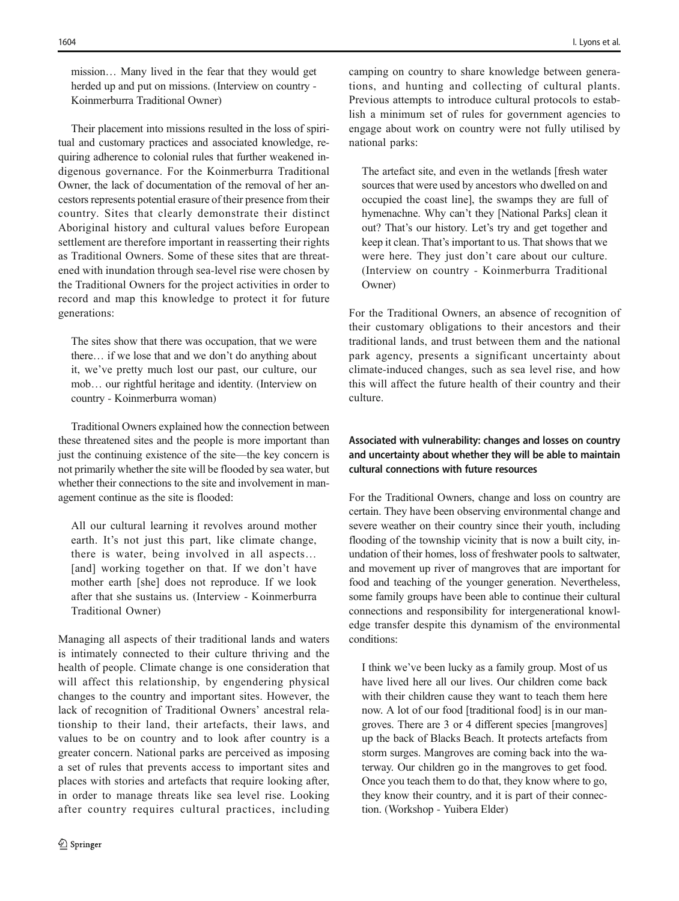mission… Many lived in the fear that they would get herded up and put on missions. (Interview on country - Koinmerburra Traditional Owner)

Their placement into missions resulted in the loss of spiritual and customary practices and associated knowledge, requiring adherence to colonial rules that further weakened indigenous governance. For the Koinmerburra Traditional Owner, the lack of documentation of the removal of her ancestors represents potential erasure of their presence from their country. Sites that clearly demonstrate their distinct Aboriginal history and cultural values before European settlement are therefore important in reasserting their rights as Traditional Owners. Some of these sites that are threatened with inundation through sea-level rise were chosen by the Traditional Owners for the project activities in order to record and map this knowledge to protect it for future generations:

The sites show that there was occupation, that we were there… if we lose that and we don't do anything about it, we've pretty much lost our past, our culture, our mob… our rightful heritage and identity. (Interview on country - Koinmerburra woman)

Traditional Owners explained how the connection between these threatened sites and the people is more important than just the continuing existence of the site—the key concern is not primarily whether the site will be flooded by sea water, but whether their connections to the site and involvement in management continue as the site is flooded:

All our cultural learning it revolves around mother earth. It's not just this part, like climate change, there is water, being involved in all aspects… [and] working together on that. If we don't have mother earth [she] does not reproduce. If we look after that she sustains us. (Interview - Koinmerburra Traditional Owner)

Managing all aspects of their traditional lands and waters is intimately connected to their culture thriving and the health of people. Climate change is one consideration that will affect this relationship, by engendering physical changes to the country and important sites. However, the lack of recognition of Traditional Owners' ancestral relationship to their land, their artefacts, their laws, and values to be on country and to look after country is a greater concern. National parks are perceived as imposing a set of rules that prevents access to important sites and places with stories and artefacts that require looking after, in order to manage threats like sea level rise. Looking after country requires cultural practices, including camping on country to share knowledge between generations, and hunting and collecting of cultural plants. Previous attempts to introduce cultural protocols to establish a minimum set of rules for government agencies to engage about work on country were not fully utilised by national parks:

The artefact site, and even in the wetlands [fresh water sources that were used by ancestors who dwelled on and occupied the coast line], the swamps they are full of hymenachne. Why can't they [National Parks] clean it out? That's our history. Let's try and get together and keep it clean. That's important to us. That shows that we were here. They just don't care about our culture. (Interview on country - Koinmerburra Traditional Owner)

For the Traditional Owners, an absence of recognition of their customary obligations to their ancestors and their traditional lands, and trust between them and the national park agency, presents a significant uncertainty about climate-induced changes, such as sea level rise, and how this will affect the future health of their country and their culture.

# Associated with vulnerability: changes and losses on country and uncertainty about whether they will be able to maintain cultural connections with future resources

For the Traditional Owners, change and loss on country are certain. They have been observing environmental change and severe weather on their country since their youth, including flooding of the township vicinity that is now a built city, inundation of their homes, loss of freshwater pools to saltwater, and movement up river of mangroves that are important for food and teaching of the younger generation. Nevertheless, some family groups have been able to continue their cultural connections and responsibility for intergenerational knowledge transfer despite this dynamism of the environmental conditions:

I think we've been lucky as a family group. Most of us have lived here all our lives. Our children come back with their children cause they want to teach them here now. A lot of our food [traditional food] is in our mangroves. There are 3 or 4 different species [mangroves] up the back of Blacks Beach. It protects artefacts from storm surges. Mangroves are coming back into the waterway. Our children go in the mangroves to get food. Once you teach them to do that, they know where to go, they know their country, and it is part of their connection. (Workshop - Yuibera Elder)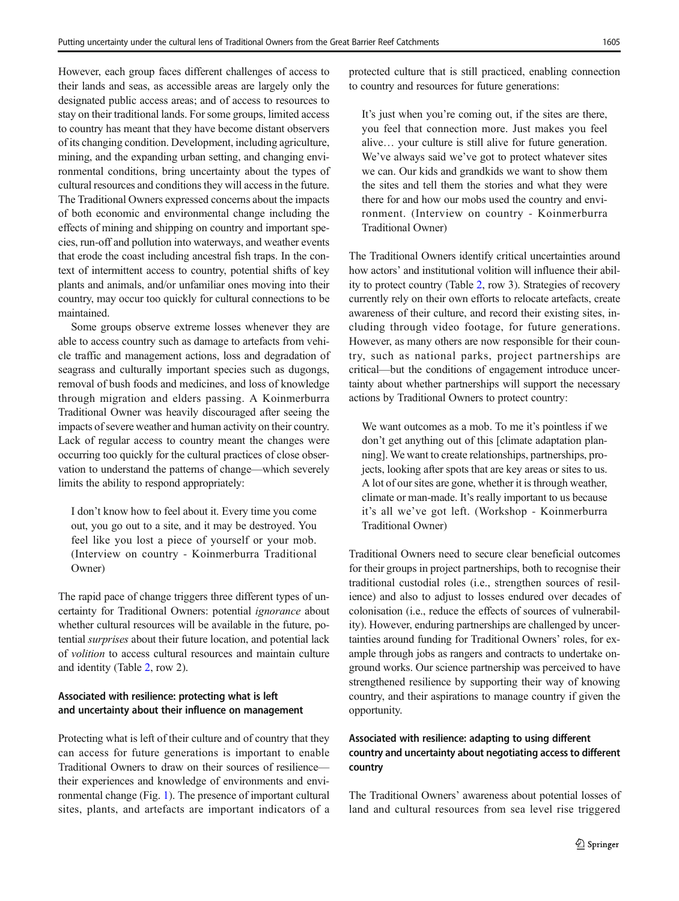However, each group faces different challenges of access to their lands and seas, as accessible areas are largely only the designated public access areas; and of access to resources to stay on their traditional lands. For some groups, limited access to country has meant that they have become distant observers of its changing condition. Development, including agriculture, mining, and the expanding urban setting, and changing environmental conditions, bring uncertainty about the types of cultural resources and conditions they will access in the future. The Traditional Owners expressed concerns about the impacts of both economic and environmental change including the effects of mining and shipping on country and important species, run-off and pollution into waterways, and weather events that erode the coast including ancestral fish traps. In the context of intermittent access to country, potential shifts of key plants and animals, and/or unfamiliar ones moving into their country, may occur too quickly for cultural connections to be maintained.

Some groups observe extreme losses whenever they are able to access country such as damage to artefacts from vehicle traffic and management actions, loss and degradation of seagrass and culturally important species such as dugongs, removal of bush foods and medicines, and loss of knowledge through migration and elders passing. A Koinmerburra Traditional Owner was heavily discouraged after seeing the impacts of severe weather and human activity on their country. Lack of regular access to country meant the changes were occurring too quickly for the cultural practices of close observation to understand the patterns of change—which severely limits the ability to respond appropriately:

I don't know how to feel about it. Every time you come out, you go out to a site, and it may be destroyed. You feel like you lost a piece of yourself or your mob. (Interview on country - Koinmerburra Traditional Owner)

The rapid pace of change triggers three different types of uncertainty for Traditional Owners: potential ignorance about whether cultural resources will be available in the future, potential surprises about their future location, and potential lack of volition to access cultural resources and maintain culture and identity (Table [2,](#page-6-0) row 2).

#### Associated with resilience: protecting what is left and uncertainty about their influence on management

Protecting what is left of their culture and of country that they can access for future generations is important to enable Traditional Owners to draw on their sources of resilience their experiences and knowledge of environments and environmental change (Fig. [1](#page-3-0)). The presence of important cultural sites, plants, and artefacts are important indicators of a protected culture that is still practiced, enabling connection to country and resources for future generations:

It's just when you're coming out, if the sites are there, you feel that connection more. Just makes you feel alive… your culture is still alive for future generation. We've always said we've got to protect whatever sites we can. Our kids and grandkids we want to show them the sites and tell them the stories and what they were there for and how our mobs used the country and environment. (Interview on country - Koinmerburra Traditional Owner)

The Traditional Owners identify critical uncertainties around how actors' and institutional volition will influence their ability to protect country (Table [2,](#page-6-0) row 3). Strategies of recovery currently rely on their own efforts to relocate artefacts, create awareness of their culture, and record their existing sites, including through video footage, for future generations. However, as many others are now responsible for their country, such as national parks, project partnerships are critical—but the conditions of engagement introduce uncertainty about whether partnerships will support the necessary actions by Traditional Owners to protect country:

We want outcomes as a mob. To me it's pointless if we don't get anything out of this [climate adaptation planning]. We want to create relationships, partnerships, projects, looking after spots that are key areas or sites to us. A lot of our sites are gone, whether it is through weather, climate or man-made. It's really important to us because it's all we've got left. (Workshop - Koinmerburra Traditional Owner)

Traditional Owners need to secure clear beneficial outcomes for their groups in project partnerships, both to recognise their traditional custodial roles (i.e., strengthen sources of resilience) and also to adjust to losses endured over decades of colonisation (i.e., reduce the effects of sources of vulnerability). However, enduring partnerships are challenged by uncertainties around funding for Traditional Owners' roles, for example through jobs as rangers and contracts to undertake onground works. Our science partnership was perceived to have strengthened resilience by supporting their way of knowing country, and their aspirations to manage country if given the opportunity.

# Associated with resilience: adapting to using different country and uncertainty about negotiating access to different country

The Traditional Owners' awareness about potential losses of land and cultural resources from sea level rise triggered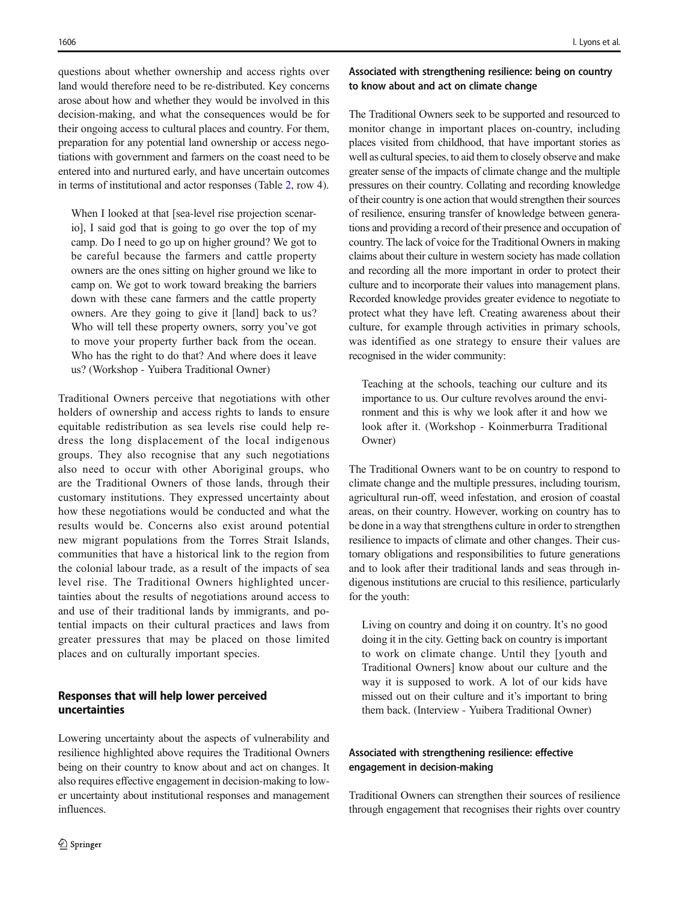questions about whether ownership and access rights over land would therefore need to be re-distributed. Key concerns arose about how and whether they would be involved in this decision-making, and what the consequences would be for their ongoing access to cultural places and country. For them, preparation for any potential land ownership or access negotiations with government and farmers on the coast need to be entered into and nurtured early, and have uncertain outcomes in terms of institutional and actor responses (Table [2](#page-6-0), row 4).

When I looked at that [sea-level rise projection scenario], I said god that is going to go over the top of my camp. Do I need to go up on higher ground? We got to be careful because the farmers and cattle property owners are the ones sitting on higher ground we like to camp on. We got to work toward breaking the barriers down with these cane farmers and the cattle property owners. Are they going to give it [land] back to us? Who will tell these property owners, sorry you've got to move your property further back from the ocean. Who has the right to do that? And where does it leave us? (Workshop - Yuibera Traditional Owner)

Traditional Owners perceive that negotiations with other holders of ownership and access rights to lands to ensure equitable redistribution as sea levels rise could help redress the long displacement of the local indigenous groups. They also recognise that any such negotiations also need to occur with other Aboriginal groups, who are the Traditional Owners of those lands, through their customary institutions. They expressed uncertainty about how these negotiations would be conducted and what the results would be. Concerns also exist around potential new migrant populations from the Torres Strait Islands, communities that have a historical link to the region from the colonial labour trade, as a result of the impacts of sea level rise. The Traditional Owners highlighted uncertainties about the results of negotiations around access to and use of their traditional lands by immigrants, and potential impacts on their cultural practices and laws from greater pressures that may be placed on those limited places and on culturally important species.

#### Responses that will help lower perceived uncertainties

Lowering uncertainty about the aspects of vulnerability and resilience highlighted above requires the Traditional Owners being on their country to know about and act on changes. It also requires effective engagement in decision-making to lower uncertainty about institutional responses and management influences.

#### Associated with strengthening resilience: being on country to know about and act on climate change

The Traditional Owners seek to be supported and resourced to monitor change in important places on-country, including places visited from childhood, that have important stories as well as cultural species, to aid them to closely observe and make greater sense of the impacts of climate change and the multiple pressures on their country. Collating and recording knowledge of their country is one action that would strengthen their sources of resilience, ensuring transfer of knowledge between generations and providing a record of their presence and occupation of country. The lack of voice for the Traditional Owners in making claims about their culture in western society has made collation and recording all the more important in order to protect their culture and to incorporate their values into management plans. Recorded knowledge provides greater evidence to negotiate to protect what they have left. Creating awareness about their culture, for example through activities in primary schools, was identified as one strategy to ensure their values are recognised in the wider community:

Teaching at the schools, teaching our culture and its importance to us. Our culture revolves around the environment and this is why we look after it and how we look after it. (Workshop - Koinmerburra Traditional Owner)

The Traditional Owners want to be on country to respond to climate change and the multiple pressures, including tourism, agricultural run-off, weed infestation, and erosion of coastal areas, on their country. However, working on country has to be done in a way that strengthens culture in order to strengthen resilience to impacts of climate and other changes. Their customary obligations and responsibilities to future generations and to look after their traditional lands and seas through indigenous institutions are crucial to this resilience, particularly for the youth:

Living on country and doing it on country. It's no good doing it in the city. Getting back on country is important to work on climate change. Until they [youth and Traditional Owners] know about our culture and the way it is supposed to work. A lot of our kids have missed out on their culture and it's important to bring them back. (Interview - Yuibera Traditional Owner)

## Associated with strengthening resilience: effective engagement in decision-making

Traditional Owners can strengthen their sources of resilience through engagement that recognises their rights over country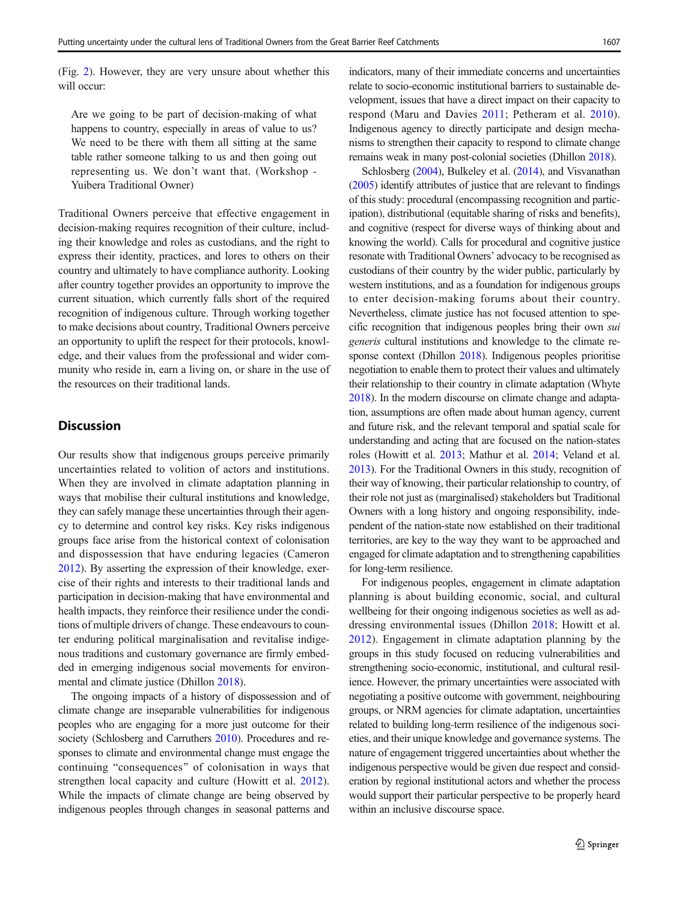(Fig. [2](#page-4-0)). However, they are very unsure about whether this will occur:

Are we going to be part of decision-making of what happens to country, especially in areas of value to us? We need to be there with them all sitting at the same table rather someone talking to us and then going out representing us. We don't want that. (Workshop - Yuibera Traditional Owner)

Traditional Owners perceive that effective engagement in decision-making requires recognition of their culture, including their knowledge and roles as custodians, and the right to express their identity, practices, and lores to others on their country and ultimately to have compliance authority. Looking after country together provides an opportunity to improve the current situation, which currently falls short of the required recognition of indigenous culture. Through working together to make decisions about country, Traditional Owners perceive an opportunity to uplift the respect for their protocols, knowledge, and their values from the professional and wider community who reside in, earn a living on, or share in the use of the resources on their traditional lands.

#### **Discussion**

Our results show that indigenous groups perceive primarily uncertainties related to volition of actors and institutions. When they are involved in climate adaptation planning in ways that mobilise their cultural institutions and knowledge, they can safely manage these uncertainties through their agency to determine and control key risks. Key risks indigenous groups face arise from the historical context of colonisation and dispossession that have enduring legacies (Cameron [2012\)](#page-11-0). By asserting the expression of their knowledge, exercise of their rights and interests to their traditional lands and participation in decision-making that have environmental and health impacts, they reinforce their resilience under the conditions of multiple drivers of change. These endeavours to counter enduring political marginalisation and revitalise indigenous traditions and customary governance are firmly embedded in emerging indigenous social movements for environmental and climate justice (Dhillon [2018](#page-11-0)).

The ongoing impacts of a history of dispossession and of climate change are inseparable vulnerabilities for indigenous peoples who are engaging for a more just outcome for their society (Schlosberg and Carruthers [2010](#page-12-0)). Procedures and responses to climate and environmental change must engage the continuing "consequences" of colonisation in ways that strengthen local capacity and culture (Howitt et al. [2012](#page-12-0)). While the impacts of climate change are being observed by indigenous peoples through changes in seasonal patterns and

indicators, many of their immediate concerns and uncertainties relate to socio-economic institutional barriers to sustainable development, issues that have a direct impact on their capacity to respond (Maru and Davies [2011](#page-12-0); Petheram et al. [2010](#page-12-0)). Indigenous agency to directly participate and design mechanisms to strengthen their capacity to respond to climate change remains weak in many post-colonial societies (Dhillon [2018\)](#page-11-0).

Schlosberg [\(2004](#page-12-0)), Bulkeley et al. ([2014\)](#page-11-0), and Visvanathan [\(2005](#page-13-0)) identify attributes of justice that are relevant to findings of this study: procedural (encompassing recognition and participation), distributional (equitable sharing of risks and benefits), and cognitive (respect for diverse ways of thinking about and knowing the world). Calls for procedural and cognitive justice resonate with Traditional Owners' advocacy to be recognised as custodians of their country by the wider public, particularly by western institutions, and as a foundation for indigenous groups to enter decision-making forums about their country. Nevertheless, climate justice has not focused attention to specific recognition that indigenous peoples bring their own sui generis cultural institutions and knowledge to the climate response context (Dhillon [2018](#page-11-0)). Indigenous peoples prioritise negotiation to enable them to protect their values and ultimately their relationship to their country in climate adaptation (Whyte [2018](#page-13-0)). In the modern discourse on climate change and adaptation, assumptions are often made about human agency, current and future risk, and the relevant temporal and spatial scale for understanding and acting that are focused on the nation-states roles (Howitt et al. [2013](#page-12-0); Mathur et al. [2014](#page-12-0); Veland et al. [2013](#page-12-0)). For the Traditional Owners in this study, recognition of their way of knowing, their particular relationship to country, of their role not just as (marginalised) stakeholders but Traditional Owners with a long history and ongoing responsibility, independent of the nation-state now established on their traditional territories, are key to the way they want to be approached and engaged for climate adaptation and to strengthening capabilities for long-term resilience.

For indigenous peoples, engagement in climate adaptation planning is about building economic, social, and cultural wellbeing for their ongoing indigenous societies as well as addressing environmental issues (Dhillon [2018;](#page-11-0) Howitt et al. [2012](#page-12-0)). Engagement in climate adaptation planning by the groups in this study focused on reducing vulnerabilities and strengthening socio-economic, institutional, and cultural resilience. However, the primary uncertainties were associated with negotiating a positive outcome with government, neighbouring groups, or NRM agencies for climate adaptation, uncertainties related to building long-term resilience of the indigenous societies, and their unique knowledge and governance systems. The nature of engagement triggered uncertainties about whether the indigenous perspective would be given due respect and consideration by regional institutional actors and whether the process would support their particular perspective to be properly heard within an inclusive discourse space.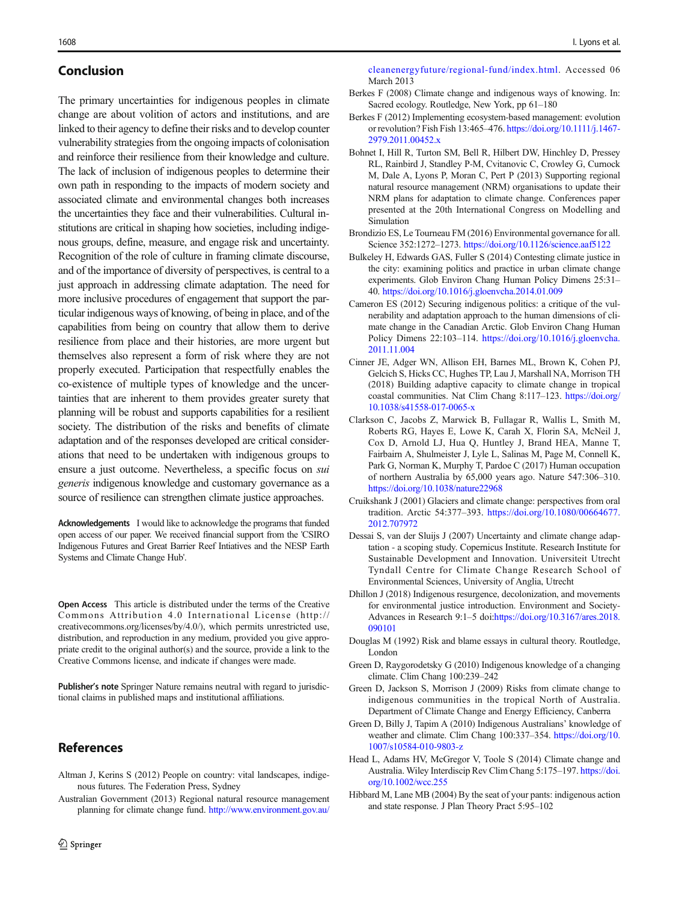#### <span id="page-11-0"></span>Conclusion

The primary uncertainties for indigenous peoples in climate change are about volition of actors and institutions, and are linked to their agency to define their risks and to develop counter vulnerability strategies from the ongoing impacts of colonisation and reinforce their resilience from their knowledge and culture. The lack of inclusion of indigenous peoples to determine their own path in responding to the impacts of modern society and associated climate and environmental changes both increases the uncertainties they face and their vulnerabilities. Cultural institutions are critical in shaping how societies, including indigenous groups, define, measure, and engage risk and uncertainty. Recognition of the role of culture in framing climate discourse, and of the importance of diversity of perspectives, is central to a just approach in addressing climate adaptation. The need for more inclusive procedures of engagement that support the particular indigenous ways of knowing, of being in place, and of the capabilities from being on country that allow them to derive resilience from place and their histories, are more urgent but themselves also represent a form of risk where they are not properly executed. Participation that respectfully enables the co-existence of multiple types of knowledge and the uncertainties that are inherent to them provides greater surety that planning will be robust and supports capabilities for a resilient society. The distribution of the risks and benefits of climate adaptation and of the responses developed are critical considerations that need to be undertaken with indigenous groups to ensure a just outcome. Nevertheless, a specific focus on sui generis indigenous knowledge and customary governance as a source of resilience can strengthen climate justice approaches.

Acknowledgements I would like to acknowledge the programs that funded open access of our paper. We received financial support from the 'CSIRO Indigenous Futures and Great Barrier Reef Intiatives and the NESP Earth Systems and Climate Change Hub'.

Open Access This article is distributed under the terms of the Creative Commons Attribution 4.0 International License (http:// creativecommons.org/licenses/by/4.0/), which permits unrestricted use, distribution, and reproduction in any medium, provided you give appropriate credit to the original author(s) and the source, provide a link to the Creative Commons license, and indicate if changes were made.

Publisher's note Springer Nature remains neutral with regard to jurisdictional claims in published maps and institutional affiliations.

# References

- Altman J, Kerins S (2012) People on country: vital landscapes, indigenous futures. The Federation Press, Sydney
- Australian Government (2013) Regional natural resource management planning for climate change fund. [http://www.environment.gov.au/](http://www.environment.gov.au/cleanenergyfuture/regional-fund/index.html)

[cleanenergyfuture/regional-fund/index.html.](http://www.environment.gov.au/cleanenergyfuture/regional-fund/index.html) Accessed 06 March 2013

- Berkes F (2008) Climate change and indigenous ways of knowing. In: Sacred ecology. Routledge, New York, pp 61–180
- Berkes F (2012) Implementing ecosystem-based management: evolution or revolution? Fish Fish 13:465–476. [https://doi.org/10.1111/j.1467-](https://doi.org/10.1111/j.1467-2979.2011.00452.x) [2979.2011.00452.x](https://doi.org/10.1111/j.1467-2979.2011.00452.x)
- Bohnet I, Hill R, Turton SM, Bell R, Hilbert DW, Hinchley D, Pressey RL, Rainbird J, Standley P-M, Cvitanovic C, Crowley G, Curnock M, Dale A, Lyons P, Moran C, Pert P (2013) Supporting regional natural resource management (NRM) organisations to update their NRM plans for adaptation to climate change. Conferences paper presented at the 20th International Congress on Modelling and Simulation
- Brondizio ES, Le Tourneau FM (2016) Environmental governance for all. Science 352:1272–1273. <https://doi.org/10.1126/science.aaf5122>
- Bulkeley H, Edwards GAS, Fuller S (2014) Contesting climate justice in the city: examining politics and practice in urban climate change experiments. Glob Environ Chang Human Policy Dimens 25:31– 40. <https://doi.org/10.1016/j.gloenvcha.2014.01.009>
- Cameron ES (2012) Securing indigenous politics: a critique of the vulnerability and adaptation approach to the human dimensions of climate change in the Canadian Arctic. Glob Environ Chang Human Policy Dimens 22:103-114. [https://doi.org/10.1016/j.gloenvcha.](https://doi.org/10.1016/j.gloenvcha.2011.11.004) [2011.11.004](https://doi.org/10.1016/j.gloenvcha.2011.11.004)
- Cinner JE, Adger WN, Allison EH, Barnes ML, Brown K, Cohen PJ, Gelcich S, Hicks CC, Hughes TP, Lau J, Marshall NA, Morrison TH (2018) Building adaptive capacity to climate change in tropical coastal communities. Nat Clim Chang 8:117–123. [https://doi.org/](https://doi.org/10.1038/s41558-017-0065-x) [10.1038/s41558-017-0065-x](https://doi.org/10.1038/s41558-017-0065-x)
- Clarkson C, Jacobs Z, Marwick B, Fullagar R, Wallis L, Smith M, Roberts RG, Hayes E, Lowe K, Carah X, Florin SA, McNeil J, Cox D, Arnold LJ, Hua Q, Huntley J, Brand HEA, Manne T, Fairbairn A, Shulmeister J, Lyle L, Salinas M, Page M, Connell K, Park G, Norman K, Murphy T, Pardoe C (2017) Human occupation of northern Australia by 65,000 years ago. Nature 547:306–310. <https://doi.org/10.1038/nature22968>
- Cruikshank J (2001) Glaciers and climate change: perspectives from oral tradition. Arctic 54:377–393. [https://doi.org/10.1080/00664677.](https://doi.org/10.1080/00664677.2012.707972) [2012.707972](https://doi.org/10.1080/00664677.2012.707972)
- Dessai S, van der Sluijs J (2007) Uncertainty and climate change adaptation - a scoping study. Copernicus Institute. Research Institute for Sustainable Development and Innovation. Universiteit Utrecht Tyndall Centre for Climate Change Research School of Environmental Sciences, University of Anglia, Utrecht
- Dhillon J (2018) Indigenous resurgence, decolonization, and movements for environmental justice introduction. Environment and Society-Advances in Research 9:1–5 doi:[https://doi.org/10.3167/ares.2018.](https://doi.org/10.3167/ares.2018.090101) [090101](https://doi.org/10.3167/ares.2018.090101)
- Douglas M (1992) Risk and blame essays in cultural theory. Routledge, London
- Green D, Raygorodetsky G (2010) Indigenous knowledge of a changing climate. Clim Chang 100:239–242
- Green D, Jackson S, Morrison J (2009) Risks from climate change to indigenous communities in the tropical North of Australia. Department of Climate Change and Energy Efficiency, Canberra
- Green D, Billy J, Tapim A (2010) Indigenous Australians' knowledge of weather and climate. Clim Chang 100:337–354. [https://doi.org/10.](https://doi.org/10.1007/s10584-010-9803-z) [1007/s10584-010-9803-z](https://doi.org/10.1007/s10584-010-9803-z)
- Head L, Adams HV, McGregor V, Toole S (2014) Climate change and Australia. Wiley Interdiscip Rev Clim Chang 5:175–197. [https://doi.](https://doi.org/10.1002/wcc.255) [org/10.1002/wcc.255](https://doi.org/10.1002/wcc.255)
- Hibbard M, Lane MB (2004) By the seat of your pants: indigenous action and state response. J Plan Theory Pract 5:95–102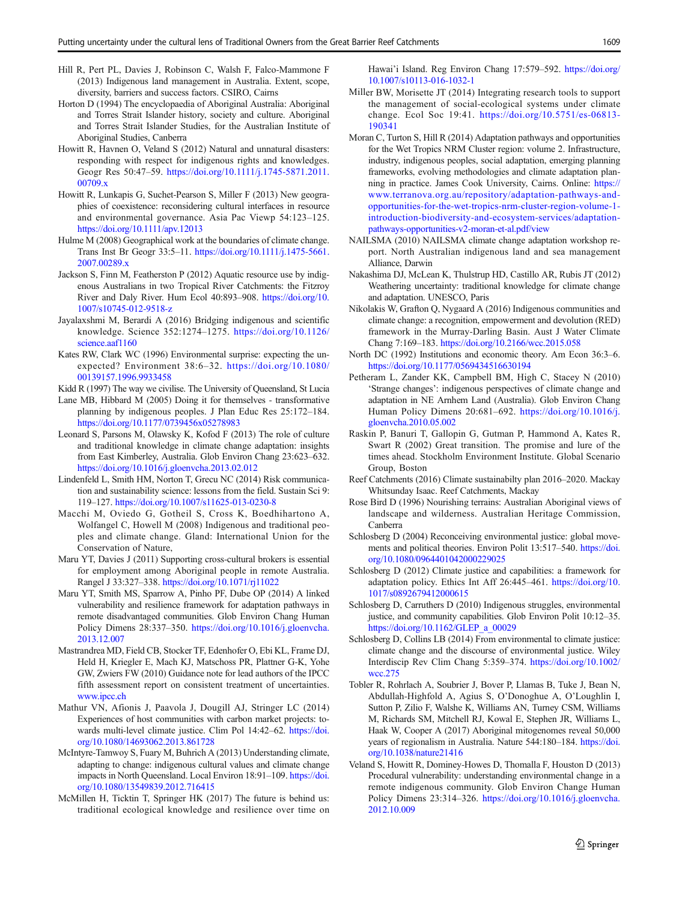- <span id="page-12-0"></span>Hill R, Pert PL, Davies J, Robinson C, Walsh F, Falco-Mammone F (2013) Indigenous land management in Australia. Extent, scope, diversity, barriers and success factors. CSIRO, Cairns
- Horton D (1994) The encyclopaedia of Aboriginal Australia: Aboriginal and Torres Strait Islander history, society and culture. Aboriginal and Torres Strait Islander Studies, for the Australian Institute of Aboriginal Studies, Canberra
- Howitt R, Havnen O, Veland S (2012) Natural and unnatural disasters: responding with respect for indigenous rights and knowledges. Geogr Res 50:47–59. [https://doi.org/10.1111/j.1745-5871.2011.](https://doi.org/10.1111/j.1745-5871.2011.00709.x) [00709.x](https://doi.org/10.1111/j.1745-5871.2011.00709.x)
- Howitt R, Lunkapis G, Suchet-Pearson S, Miller F (2013) New geographies of coexistence: reconsidering cultural interfaces in resource and environmental governance. Asia Pac Viewp 54:123–125. <https://doi.org/10.1111/apv.12013>
- Hulme M (2008) Geographical work at the boundaries of climate change. Trans Inst Br Geogr 33:5–11. [https://doi.org/10.1111/j.1475-5661.](https://doi.org/10.1111/j.1475-5661.2007.00289.x) [2007.00289.x](https://doi.org/10.1111/j.1475-5661.2007.00289.x)
- Jackson S, Finn M, Featherston P (2012) Aquatic resource use by indigenous Australians in two Tropical River Catchments: the Fitzroy River and Daly River. Hum Ecol 40:893–908. [https://doi.org/10.](https://doi.org/10.1007/s10745-012-9518-z) [1007/s10745-012-9518-z](https://doi.org/10.1007/s10745-012-9518-z)
- Jayalaxshmi M, Berardi A (2016) Bridging indigenous and scientific knowledge. Science 352:1274–1275. [https://doi.org/10.1126/](https://doi.org/10.1126/science.aaf1160) [science.aaf1160](https://doi.org/10.1126/science.aaf1160)
- Kates RW, Clark WC (1996) Environmental surprise: expecting the unexpected? Environment 38:6–32. [https://doi.org/10.1080/](https://doi.org/10.1080/00139157.1996.9933458) [00139157.1996.9933458](https://doi.org/10.1080/00139157.1996.9933458)
- Kidd R (1997) The way we civilise. The University of Queensland, St Lucia
- Lane MB, Hibbard M (2005) Doing it for themselves transformative planning by indigenous peoples. J Plan Educ Res 25:172–184. <https://doi.org/10.1177/0739456x05278983>
- Leonard S, Parsons M, Olawsky K, Kofod F (2013) The role of culture and traditional knowledge in climate change adaptation: insights from East Kimberley, Australia. Glob Environ Chang 23:623–632. <https://doi.org/10.1016/j.gloenvcha.2013.02.012>
- Lindenfeld L, Smith HM, Norton T, Grecu NC (2014) Risk communication and sustainability science: lessons from the field. Sustain Sci 9: 119–127. <https://doi.org/10.1007/s11625-013-0230-8>
- Macchi M, Oviedo G, Gotheil S, Cross K, Boedhihartono A, Wolfangel C, Howell M (2008) Indigenous and traditional peoples and climate change. Gland: International Union for the Conservation of Nature,
- Maru YT, Davies J (2011) Supporting cross-cultural brokers is essential for employment among Aboriginal people in remote Australia. Rangel J 33:327–338. <https://doi.org/10.1071/rj11022>
- Maru YT, Smith MS, Sparrow A, Pinho PF, Dube OP (2014) A linked vulnerability and resilience framework for adaptation pathways in remote disadvantaged communities. Glob Environ Chang Human Policy Dimens 28:337–350. [https://doi.org/10.1016/j.gloenvcha.](https://doi.org/10.1016/j.gloenvcha.2013.12.007) [2013.12.007](https://doi.org/10.1016/j.gloenvcha.2013.12.007)
- Mastrandrea MD, Field CB, Stocker TF, Edenhofer O, Ebi KL, Frame DJ, Held H, Kriegler E, Mach KJ, Matschoss PR, Plattner G-K, Yohe GW, Zwiers FW (2010) Guidance note for lead authors of the IPCC fifth assessment report on consistent treatment of uncertainties. [www.ipcc.ch](http://www.ipcc.ch)
- Mathur VN, Afionis J, Paavola J, Dougill AJ, Stringer LC (2014) Experiences of host communities with carbon market projects: towards multi-level climate justice. Clim Pol 14:42–62. [https://doi.](https://doi.org/10.1080/14693062.2013.861728) [org/10.1080/14693062.2013.861728](https://doi.org/10.1080/14693062.2013.861728)
- McIntyre-Tamwoy S, Fuary M, Buhrich A (2013) Understanding climate, adapting to change: indigenous cultural values and climate change impacts in North Queensland. Local Environ 18:91–109. [https://doi.](https://doi.org/10.1080/13549839.2012.716415) [org/10.1080/13549839.2012.716415](https://doi.org/10.1080/13549839.2012.716415)
- McMillen H, Ticktin T, Springer HK (2017) The future is behind us: traditional ecological knowledge and resilience over time on

Hawai'i Island. Reg Environ Chang 17:579-592. [https://doi.org/](https://doi.org/10.1007/s10113-016-1032-1) [10.1007/s10113-016-1032-1](https://doi.org/10.1007/s10113-016-1032-1)

- Miller BW, Morisette JT (2014) Integrating research tools to support the management of social-ecological systems under climate change. Ecol Soc 19:41. [https://doi.org/10.5751/es-06813-](https://doi.org/10.5751/es-06813-190341) [190341](https://doi.org/10.5751/es-06813-190341)
- Moran C, Turton S, Hill R (2014) Adaptation pathways and opportunities for the Wet Tropics NRM Cluster region: volume 2. Infrastructure, industry, indigenous peoples, social adaptation, emerging planning frameworks, evolving methodologies and climate adaptation planning in practice. James Cook University, Cairns. Online: [https://](https://www.terranova.org.au/repository/adaptation-pathways-and-opportunities-for-the-wet-tropics-nrm-cluster-region-volume-1-introduction-biodiversity-and-ecosystem-services/adaptation-pathways-opportunities-v2-moran-et-al.pdf/view) [www.terranova.org.au/repository/adaptation-pathways-and](https://www.terranova.org.au/repository/adaptation-pathways-and-opportunities-for-the-wet-tropics-nrm-cluster-region-volume-1-introduction-biodiversity-and-ecosystem-services/adaptation-pathways-opportunities-v2-moran-et-al.pdf/view)[opportunities-for-the-wet-tropics-nrm-cluster-region-volume-1](https://www.terranova.org.au/repository/adaptation-pathways-and-opportunities-for-the-wet-tropics-nrm-cluster-region-volume-1-introduction-biodiversity-and-ecosystem-services/adaptation-pathways-opportunities-v2-moran-et-al.pdf/view) [introduction-biodiversity-and-ecosystem-services/adaptation](https://www.terranova.org.au/repository/adaptation-pathways-and-opportunities-for-the-wet-tropics-nrm-cluster-region-volume-1-introduction-biodiversity-and-ecosystem-services/adaptation-pathways-opportunities-v2-moran-et-al.pdf/view)[pathways-opportunities-v2-moran-et-al.pdf/view](https://www.terranova.org.au/repository/adaptation-pathways-and-opportunities-for-the-wet-tropics-nrm-cluster-region-volume-1-introduction-biodiversity-and-ecosystem-services/adaptation-pathways-opportunities-v2-moran-et-al.pdf/view)
- NAILSMA (2010) NAILSMA climate change adaptation workshop report. North Australian indigenous land and sea management Alliance, Darwin
- Nakashima DJ, McLean K, Thulstrup HD, Castillo AR, Rubis JT (2012) Weathering uncertainty: traditional knowledge for climate change and adaptation. UNESCO, Paris
- Nikolakis W, Grafton Q, Nygaard A (2016) Indigenous communities and climate change: a recognition, empowerment and devolution (RED) framework in the Murray-Darling Basin. Aust J Water Climate Chang 7:169–183. <https://doi.org/10.2166/wcc.2015.058>
- North DC (1992) Institutions and economic theory. Am Econ 36:3–6. <https://doi.org/10.1177/0569434516630194>
- Petheram L, Zander KK, Campbell BM, High C, Stacey N (2010) 'Strange changes': indigenous perspectives of climate change and adaptation in NE Arnhem Land (Australia). Glob Environ Chang Human Policy Dimens 20:681–692. [https://doi.org/10.1016/j.](https://doi.org/10.1016/j.gloenvcha.2010.05.002) [gloenvcha.2010.05.002](https://doi.org/10.1016/j.gloenvcha.2010.05.002)
- Raskin P, Banuri T, Gallopin G, Gutman P, Hammond A, Kates R, Swart R (2002) Great transition. The promise and lure of the times ahead. Stockholm Environment Institute. Global Scenario Group, Boston
- Reef Catchments (2016) Climate sustainabilty plan 2016–2020. Mackay Whitsunday Isaac. Reef Catchments, Mackay
- Rose Bird D (1996) Nourishing terrains: Australian Aboriginal views of landscape and wilderness. Australian Heritage Commission, Canberra
- Schlosberg D (2004) Reconceiving environmental justice: global movements and political theories. Environ Polit 13:517–540. [https://doi.](https://doi.org/10.1080/0964401042000229025) [org/10.1080/0964401042000229025](https://doi.org/10.1080/0964401042000229025)
- Schlosberg D (2012) Climate justice and capabilities: a framework for adaptation policy. Ethics Int Aff 26:445–461. [https://doi.org/10.](https://doi.org/10.1017/s0892679412000615) [1017/s0892679412000615](https://doi.org/10.1017/s0892679412000615)
- Schlosberg D, Carruthers D (2010) Indigenous struggles, environmental justice, and community capabilities. Glob Environ Polit 10:12–35. [https://doi.org/10.1162/GLEP\\_a\\_00029](https://doi.org/10.1162/GLEP_a_00029)
- Schlosberg D, Collins LB (2014) From environmental to climate justice: climate change and the discourse of environmental justice. Wiley Interdiscip Rev Clim Chang 5:359–374. [https://doi.org/10.1002/](https://doi.org/10.1002/wcc.275) [wcc.275](https://doi.org/10.1002/wcc.275)
- Tobler R, Rohrlach A, Soubrier J, Bover P, Llamas B, Tuke J, Bean N, Abdullah-Highfold A, Agius S, O'Donoghue A, O'Loughlin I, Sutton P, Zilio F, Walshe K, Williams AN, Turney CSM, Williams M, Richards SM, Mitchell RJ, Kowal E, Stephen JR, Williams L, Haak W, Cooper A (2017) Aboriginal mitogenomes reveal 50,000 years of regionalism in Australia. Nature 544:180–184. [https://doi.](https://doi.org/10.1038/nature21416) [org/10.1038/nature21416](https://doi.org/10.1038/nature21416)
- Veland S, Howitt R, Dominey-Howes D, Thomalla F, Houston D (2013) Procedural vulnerability: understanding environmental change in a remote indigenous community. Glob Environ Change Human Policy Dimens 23:314–326. [https://doi.org/10.1016/j.gloenvcha.](https://doi.org/10.1016/j.gloenvcha.2012.10.009) [2012.10.009](https://doi.org/10.1016/j.gloenvcha.2012.10.009)